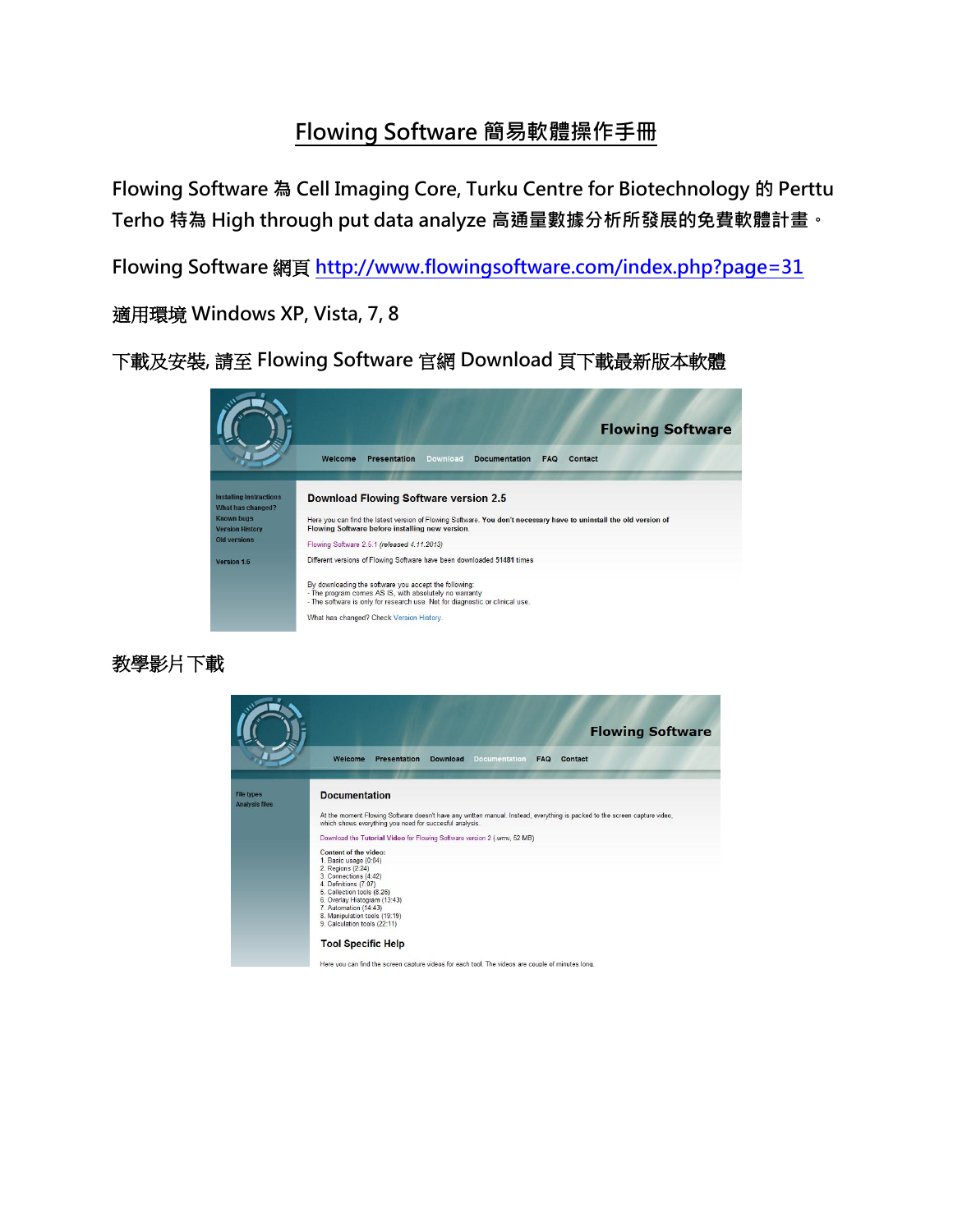# Flowing Software 簡易軟體操作手冊

Flowing Software 為 [Cell Imaging Core, Turku Centre for Biotechnology](http://www.btk.fi/cell-imaging/) 的 Perttu Terho 特為 High through put data analyze 高通量數據分析所發展的免費軟體計畫。

Flowing Software 網頁 <http://www.flowingsoftware.com/index.php?page=31>

適用環境 Windows XP, Vista, 7, 8

下載及安裝, 請至 Flowing Software 官網 Download 頁下載最新版本軟體



#### 教學影片下載



Here you can find the screen capture videos for each tool. The videos are couple of minutes long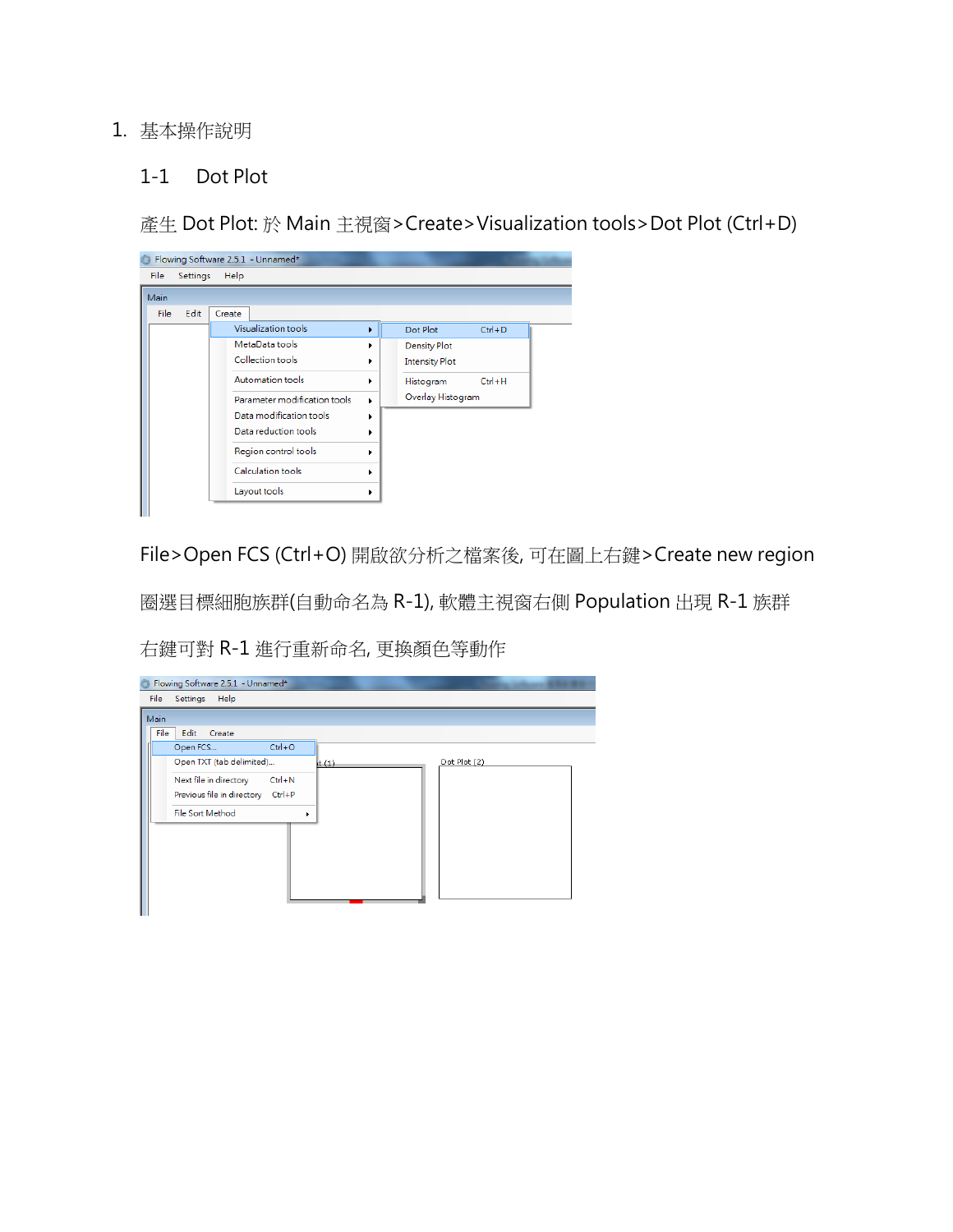#### 1. 基本操作說明

#### 1-1 Dot Plot

產生 Dot Plot: 於 Main 主視窗>Create>Visualization tools>Dot Plot (Ctrl+D)

| Flowing Software 2.5.1 - Unnamed* |      |      |                                                                                        |                                                 |        |  |                                              |            |  |  |  |
|-----------------------------------|------|------|----------------------------------------------------------------------------------------|-------------------------------------------------|--------|--|----------------------------------------------|------------|--|--|--|
| Help<br>File<br>Settings          |      |      |                                                                                        |                                                 |        |  |                                              |            |  |  |  |
|                                   | Main |      |                                                                                        |                                                 |        |  |                                              |            |  |  |  |
|                                   | File | Edit | Create                                                                                 |                                                 |        |  |                                              |            |  |  |  |
|                                   |      |      |                                                                                        | Visualization tools                             | ۰      |  | Dot Plot                                     | $Ctrl + D$ |  |  |  |
|                                   |      |      | MetaData tools<br>Collection tools<br>Automation tools<br>Parameter modification tools |                                                 | ۰      |  | <b>Density Plot</b><br><b>Intensity Plot</b> |            |  |  |  |
|                                   |      |      |                                                                                        |                                                 | ٠<br>٠ |  | Histogram<br>Overlay Histogram               | $Ctrl + H$ |  |  |  |
|                                   |      |      |                                                                                        | Data modification tools<br>Data reduction tools |        |  |                                              |            |  |  |  |
|                                   |      |      |                                                                                        | Region control tools                            |        |  |                                              |            |  |  |  |
|                                   |      |      |                                                                                        | Calculation tools                               |        |  |                                              |            |  |  |  |
|                                   |      |      |                                                                                        | Layout tools                                    |        |  |                                              |            |  |  |  |
|                                   |      |      |                                                                                        |                                                 |        |  |                                              |            |  |  |  |

File>Open FCS (Ctrl+O) 開啟欲分析之檔案後, 可在圖上右鍵>Create new region

圈選目標細胞族群(自動命名為 R-1), 軟體主視窗右側 Population 出現 R-1 族群

右鍵可對 R-1 進行重新命名, 更換顏色等動作

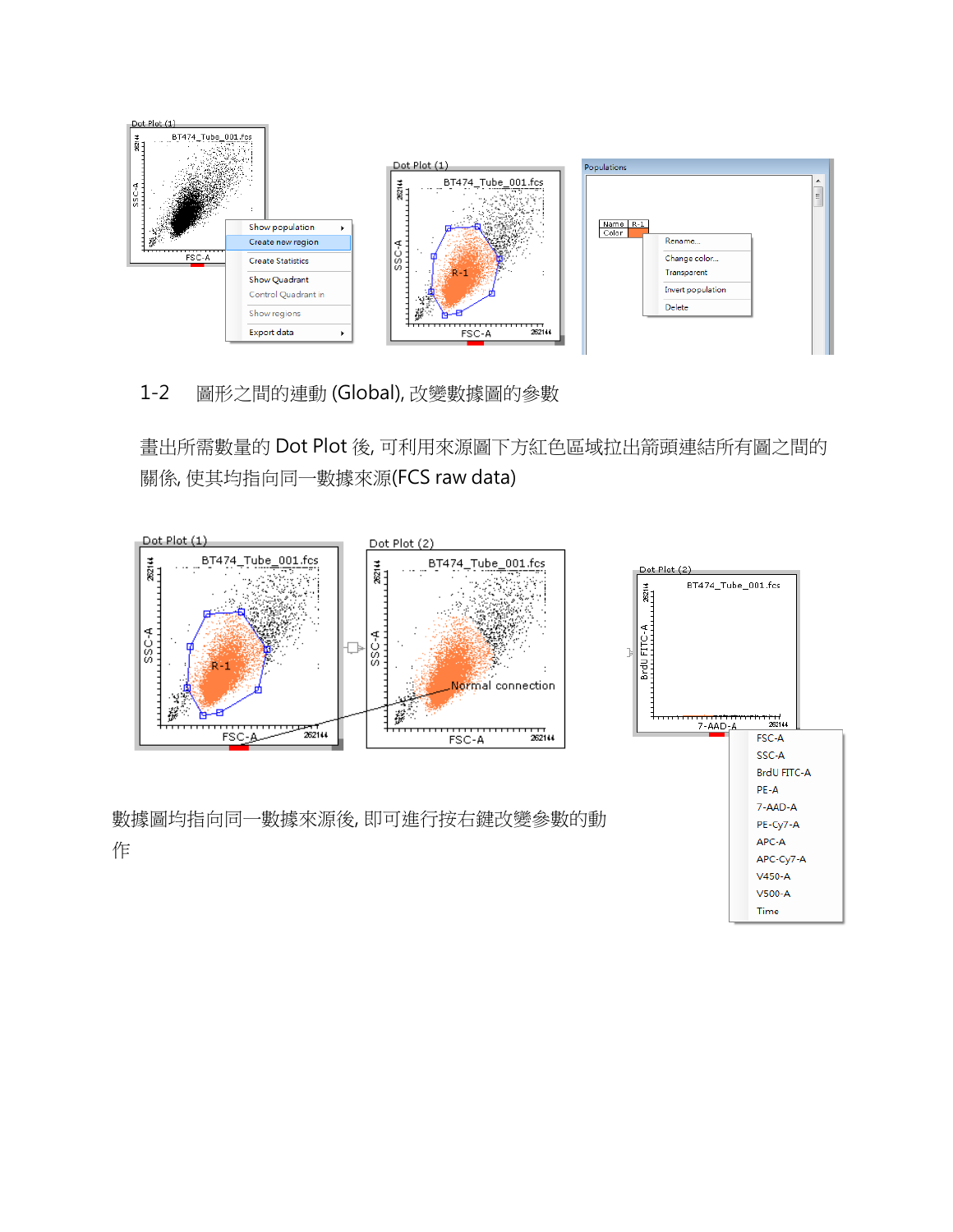

1-2 圖形之間的連動 (Global), 改變數據圖的參數

畫出所需數量的 Dot Plot 後, 可利用來源圖下方紅色區域拉出箭頭連結所有圖之間的 關係, 使其均指向同一數據來源(FCS raw data)



 $V500-A$ Time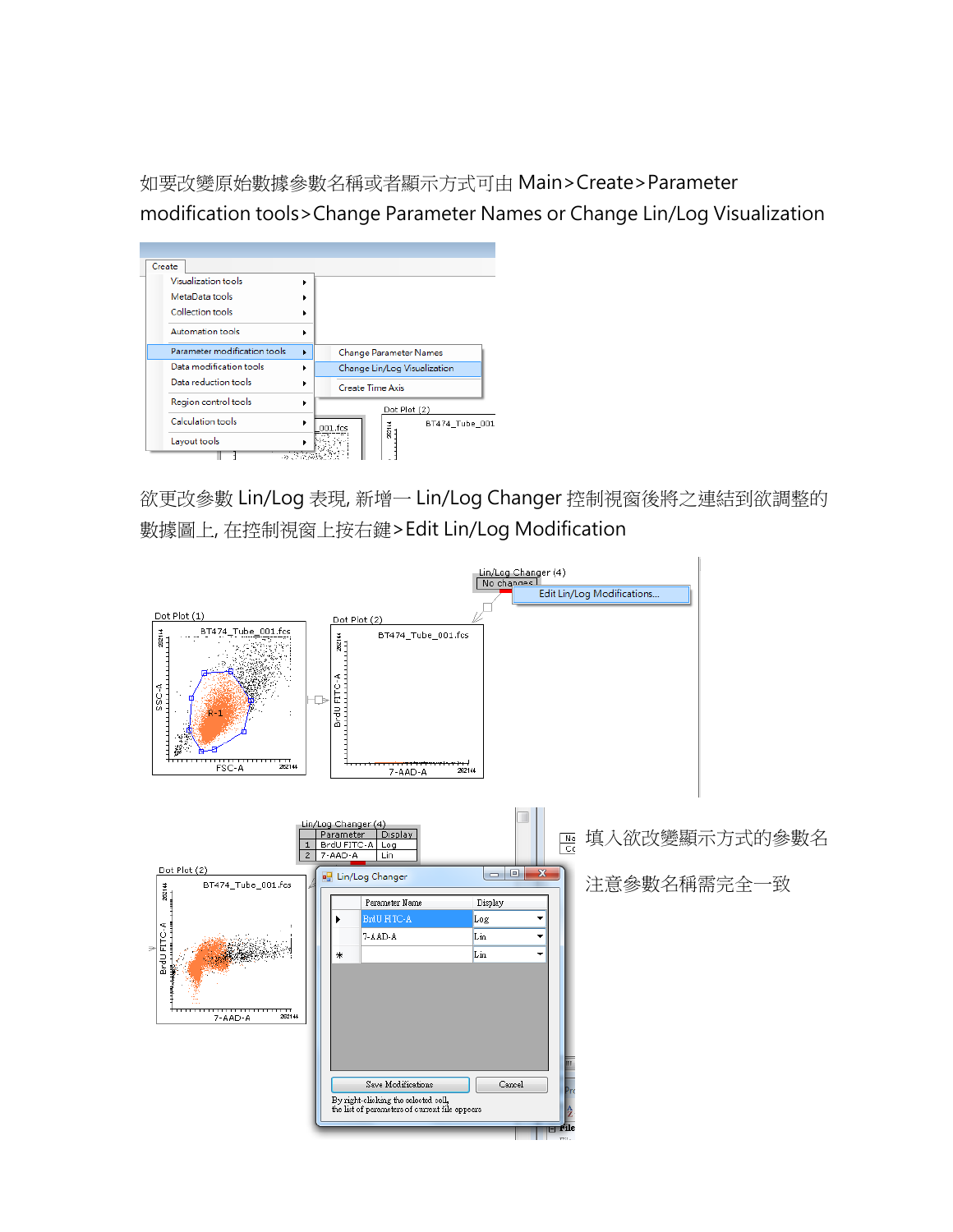如要改變原始數據參數名稱或者顯示方式可由 Main>Create>Parameter modification tools>Change Parameter Names or Change Lin/Log Visualization



欲更改參數 Lin/Log 表現, 新增一 Lin/Log Changer 控制視窗後將之連結到欲調整的 數據圖上, 在控制視窗上按右鍵>Edit Lin/Log Modification

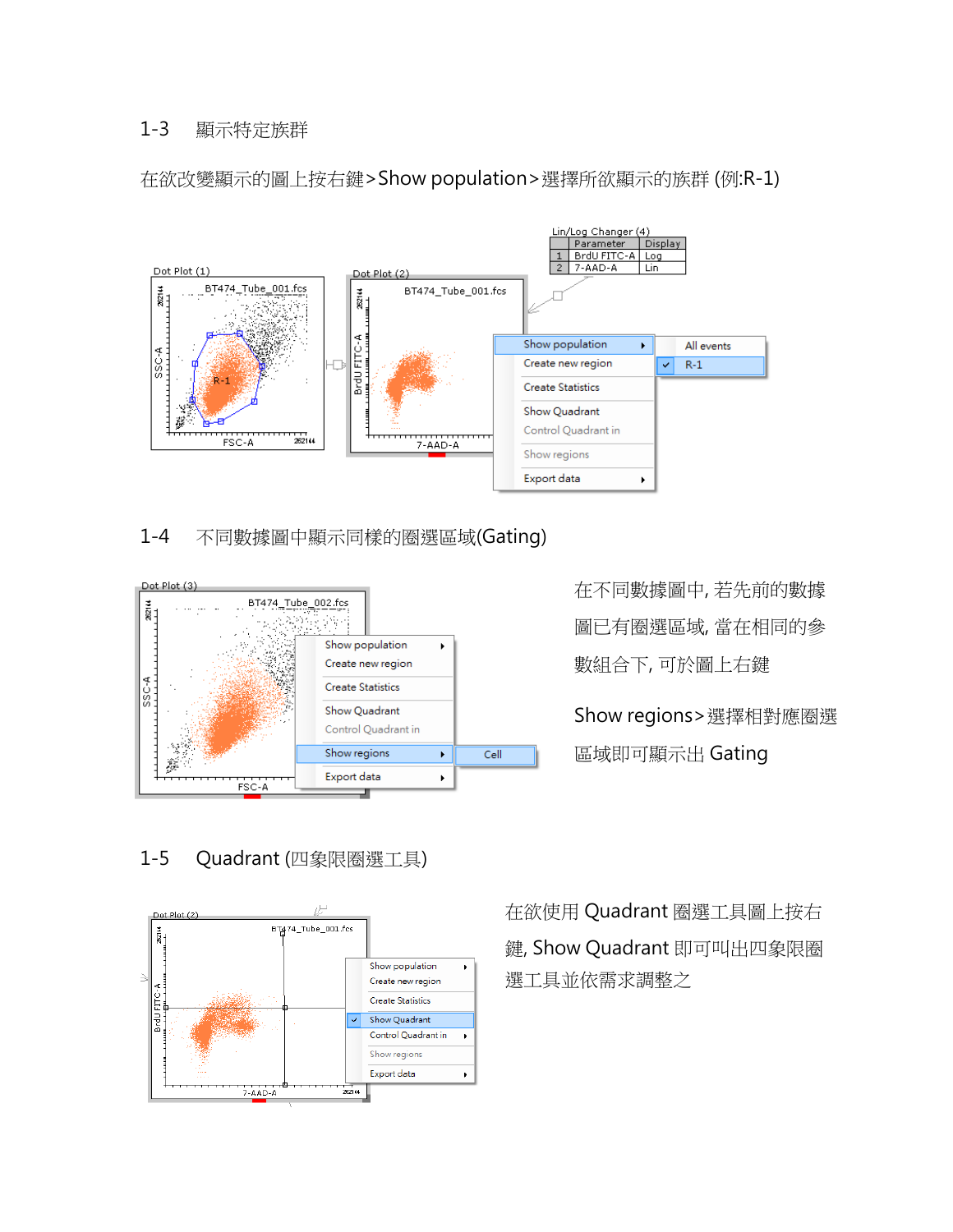#### 1-3 顯示特定族群



在欲改變顯示的圖上按右鍵>Show population>選擇所欲顯示的族群 (例:R-1)

## 1-4 不同數據圖中顯示同樣的圈選區域(Gating)



在不同數據圖中, 若先前的數據 圖已有圈選區域, 當在相同的參 數組合下, 可於圖上右鍵

Show regions>選擇相對應圈選

區域即可顯示出 Gating

# 1-5 Quadrant (四象限圈選工具)



在欲使用 Quadrant 圈選工具圖上按右 鍵, Show Quadrant 即可叫出四象限圈 選工具並依需求調整之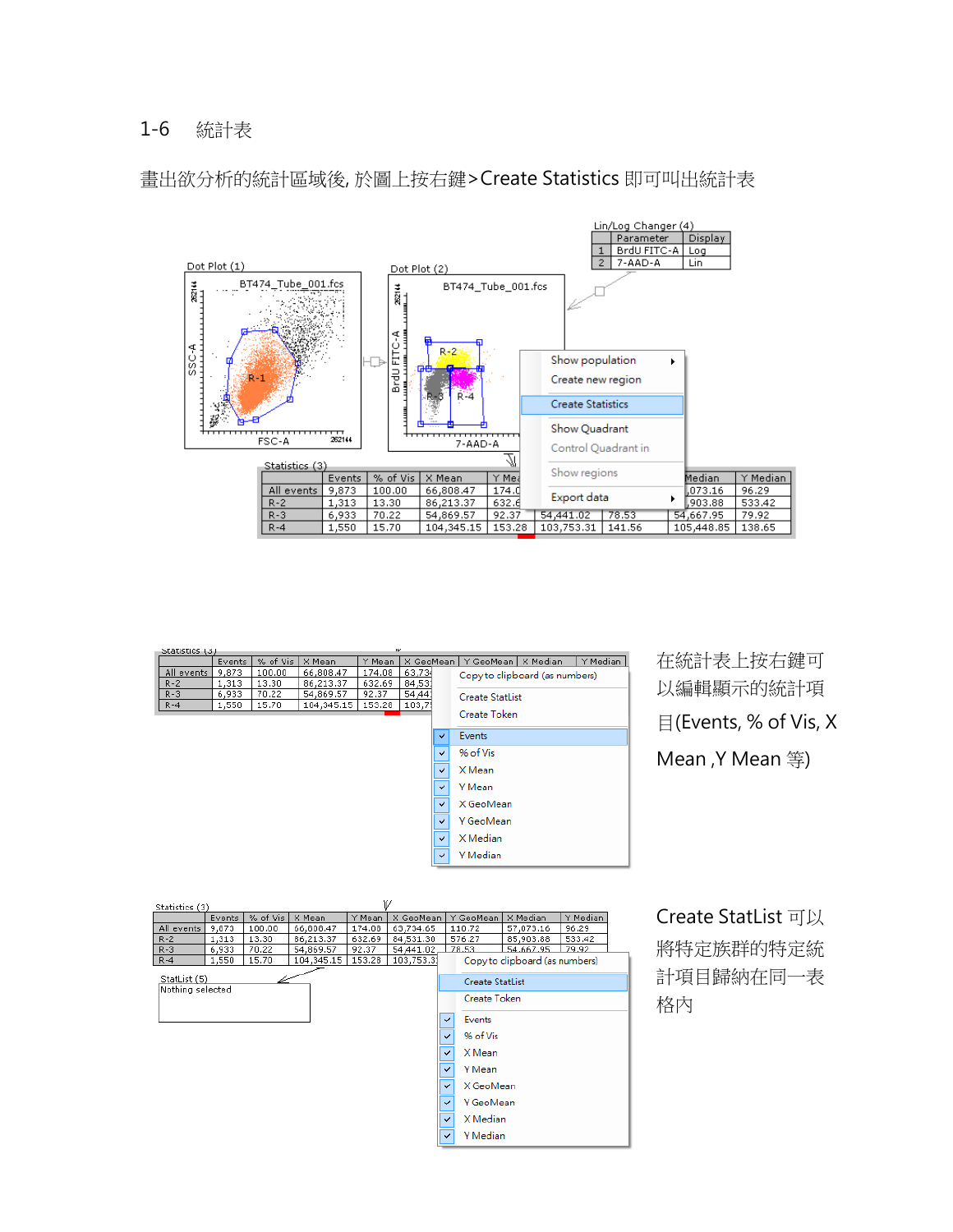#### 1-6 統計表



畫出欲分析的統計區域後, 於圖上按右鍵>Create Statistics 即可叫出統計表

| w<br>Statistics (3) |        |          |            |        |           |              |                                  |
|---------------------|--------|----------|------------|--------|-----------|--------------|----------------------------------|
|                     | Events | % of Vis | X Mean     | Y Mean | X GeoMean |              | Y Median<br>Y GeoMean   X Median |
| All events          | 9,873  | 100.00   | 66,808.47  | 174.08 | 63,734    |              | Copy to clipboard (as numbers)   |
| $R - 2$             | 1,313  | 13.30    | 86,213,37  | 632.69 | 84,531    |              |                                  |
| $R - 3$             | 6,933  | 70.22    | 54,869.57  | 92.37  | 54,441    |              | <b>Create StatList</b>           |
| $R - 4$             | 1,550  | 15.70    | 104,345.15 | 153.28 | 103,75    |              |                                  |
|                     |        |          |            |        |           |              | Create Token                     |
|                     |        |          |            |        |           | ✓            | Events                           |
|                     |        |          |            |        |           | $\checkmark$ | % of Vis                         |
|                     |        |          |            |        |           | $\checkmark$ | X Mean                           |
|                     |        |          |            |        |           | $\checkmark$ | Y Mean                           |
|                     |        |          |            |        |           | $\checkmark$ | X GeoMean                        |
|                     |        |          |            |        |           | $\checkmark$ | Y GeoMean                        |
|                     |        |          |            |        |           | $\checkmark$ | X Median                         |
|                     |        |          |            |        |           | $\checkmark$ | Y Median                         |
|                     |        |          |            |        |           |              |                                  |

在統計表上按右鍵可 以編輯顯示的統計項 目(Events, % of Vis, X Mean ,Y Mean 等)



Create StatList 可以 將特定族群的特定統 計項目歸納在同一表 格內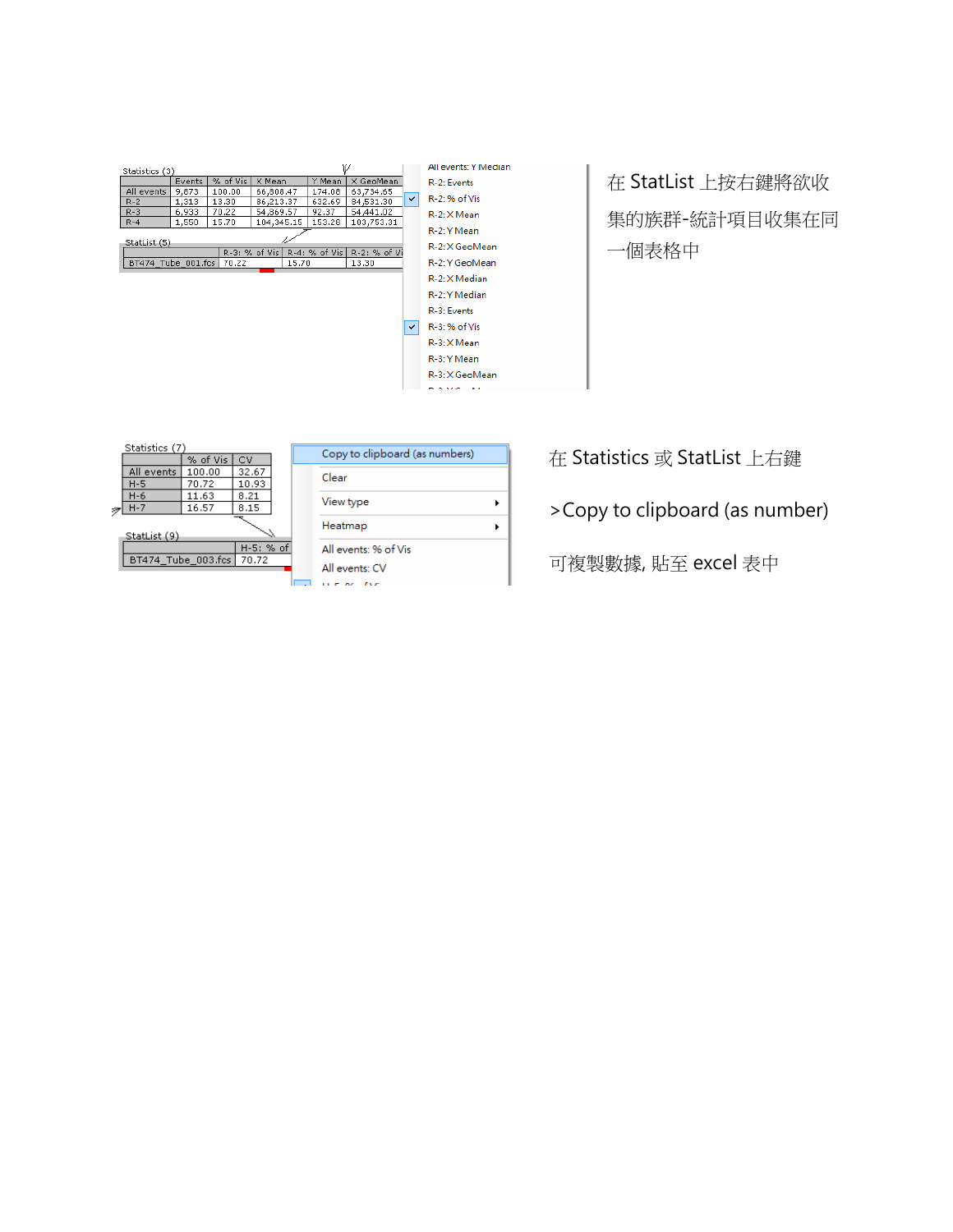| Statistics (3)     |                |          |                 |            |               |              |  |  |
|--------------------|----------------|----------|-----------------|------------|---------------|--------------|--|--|
|                    | Events         | % of Vis | X Mean          |            | Y Mean        | X GeoMean    |  |  |
| All events         | 9.873          | 100.00   | 66,808.47       |            | 174.08        | 63,734.65    |  |  |
| $R - 2$            | 1,313          | 13.30    | 86,213,37       |            | 632.69        | 84,531.30    |  |  |
| $R - 3$            | 6.933          | 70.22    | 54,869.57       |            | 92.37         | 54,441.02    |  |  |
| $R - 4$            | 1,550<br>15.70 |          |                 | 104,345.15 | 153.28        | 103,753.31   |  |  |
| StatList (5)       |                |          |                 |            |               |              |  |  |
|                    |                |          | R-3: % of Vis I |            | R-4: % of Vis | R-2: % of Vi |  |  |
| BT474 Tube 001.fcs |                | 70.22    |                 | 15.70      |               | 13.30        |  |  |
|                    |                |          |                 |            |               |              |  |  |



# 在 StatList 上按右鍵將欲收 集的族群-統計項目收集在同 一個表格中

| Statistics (7)     |           |       |  |  |  |  |  |
|--------------------|-----------|-------|--|--|--|--|--|
|                    | % of Vis  | CV    |  |  |  |  |  |
| All events         | 100.00    | 32.67 |  |  |  |  |  |
| H-5                | 70.72     | 10.93 |  |  |  |  |  |
| H-6                | 11.63     | 8.21  |  |  |  |  |  |
| $H - 7$            | 16.57     | 8,15  |  |  |  |  |  |
|                    |           |       |  |  |  |  |  |
| StatList (9)       |           |       |  |  |  |  |  |
|                    | H-5: % of |       |  |  |  |  |  |
| BT474 Tube 003.fcs | 70.72     |       |  |  |  |  |  |

| Copy to clipboard (as numbers) |  |  |  |  |  |  |
|--------------------------------|--|--|--|--|--|--|
| Clear                          |  |  |  |  |  |  |
| View type                      |  |  |  |  |  |  |
| Heatmap                        |  |  |  |  |  |  |
| All events: % of Vis           |  |  |  |  |  |  |
| All events: CV                 |  |  |  |  |  |  |
|                                |  |  |  |  |  |  |

# 在 Statistics 或 StatList 上右鍵

>Copy to clipboard (as number)

可複製數據, 貼至 excel 表中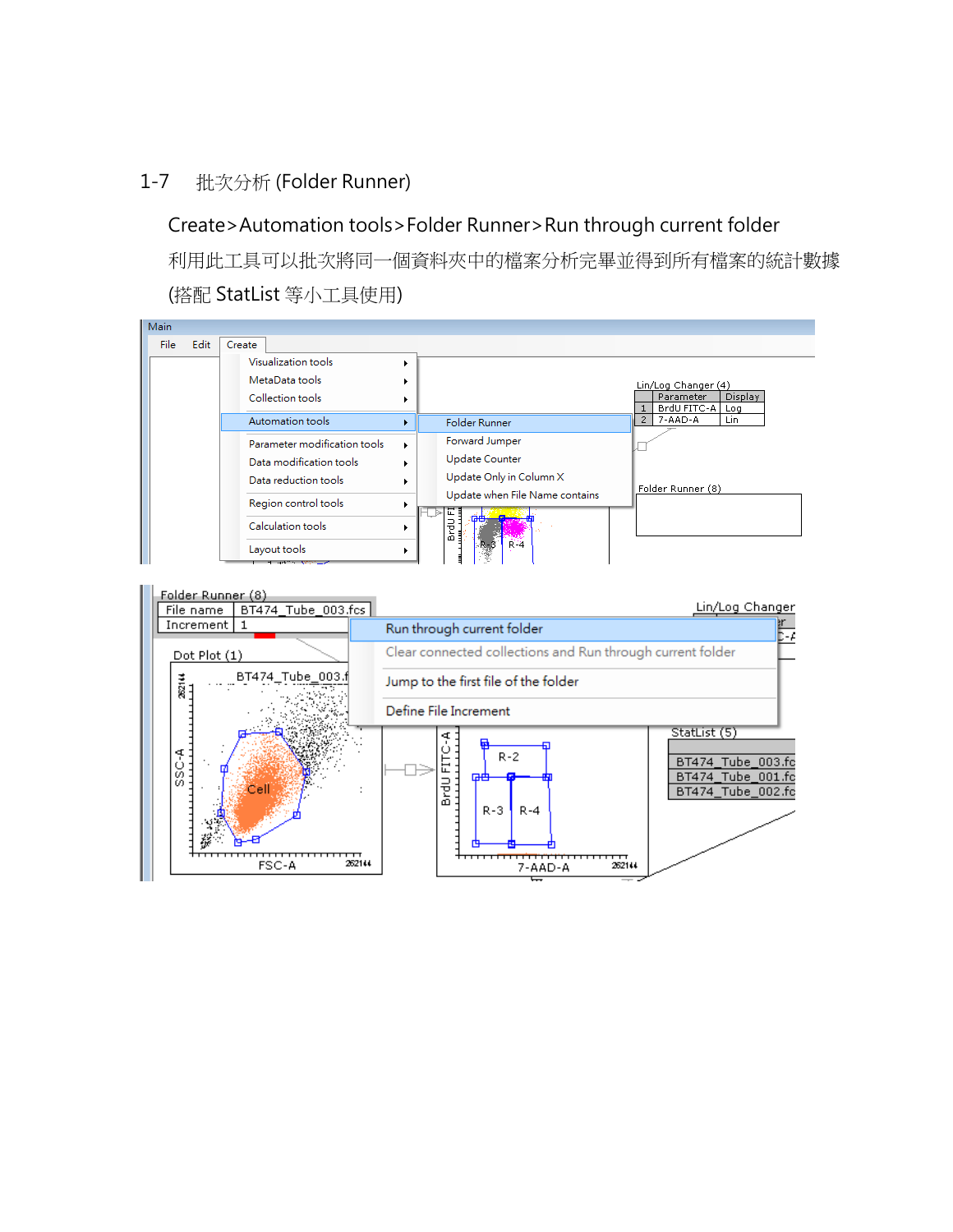### 1-7 批次分析 (Folder Runner)

# Create>Automation tools>Folder Runner>Run through current folder

利用此工具可以批次將同一個資料夾中的檔案分析完畢並得到所有檔案的統計數據 (搭配 StatList 等小工具使用)



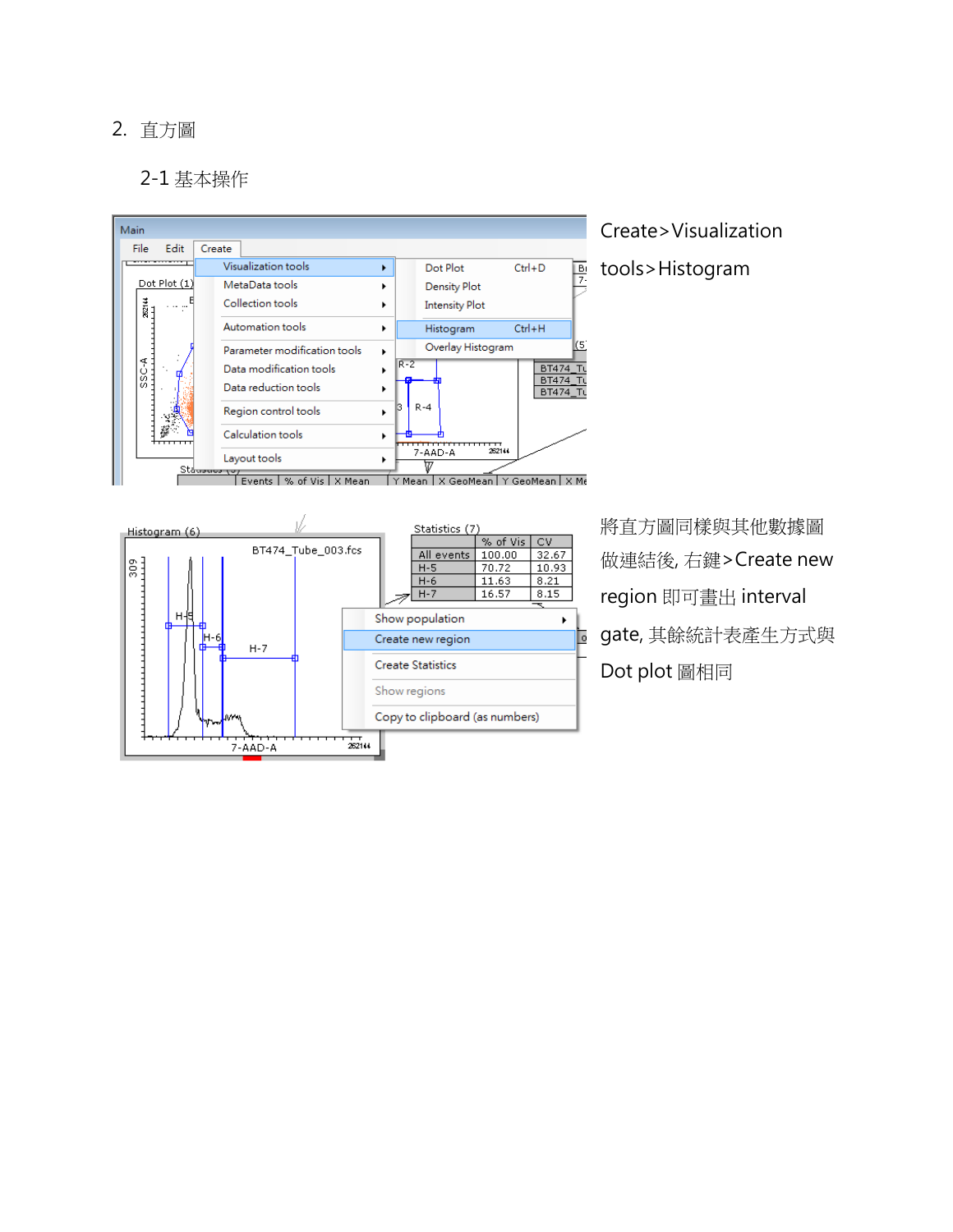## 2. 直方圖

## 2-1 基本操作

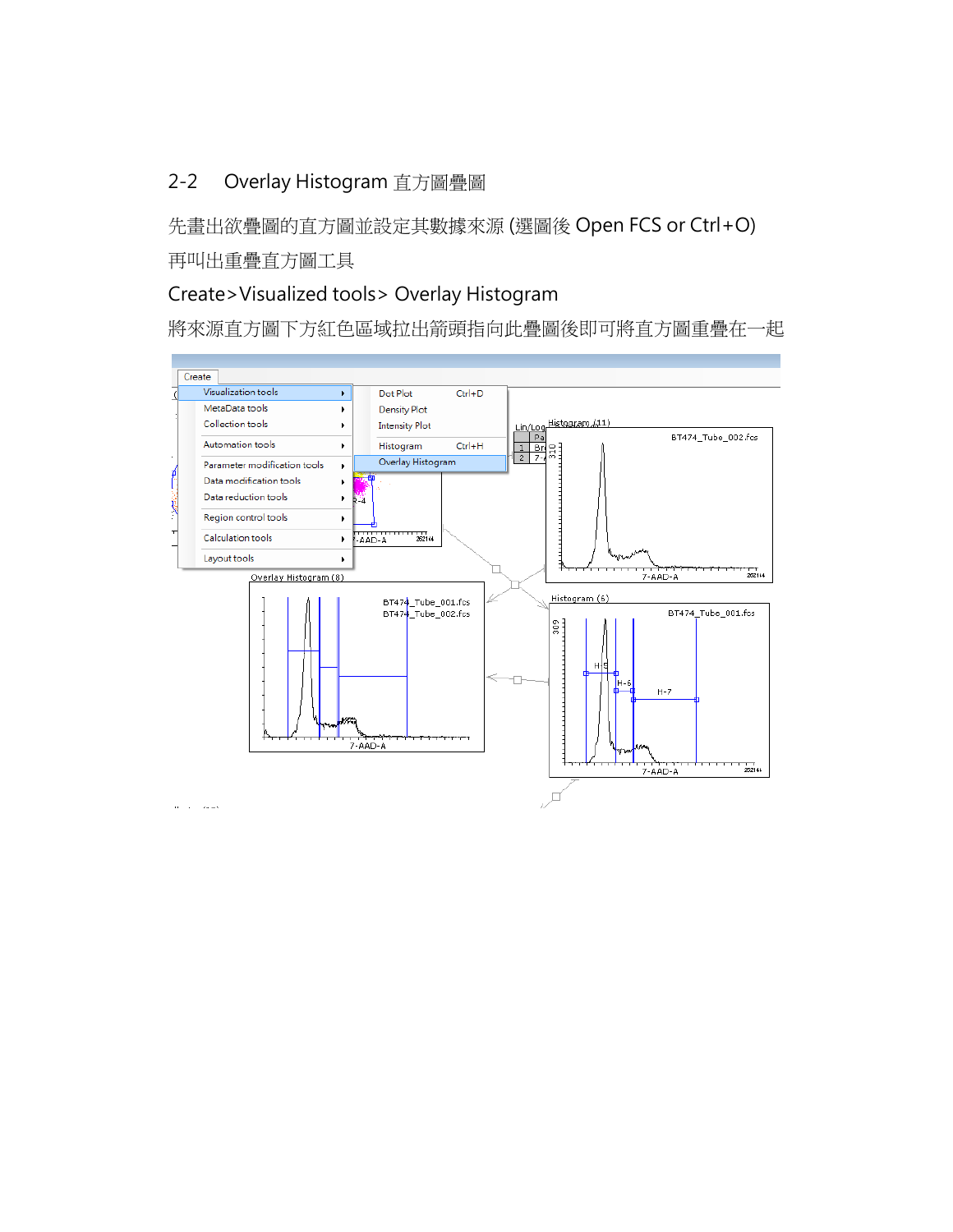# 2-2 Overlay Histogram 直方圖疊圖

先畫出欲疊圖的直方圖並設定其數據來源 (選圖後 Open FCS or Ctrl+O) 再叫出重疊直方圖工具

# Create>Visualized tools> Overlay Histogram

將來源直方圖下方紅色區域拉出箭頭指向此疊圖後即可將直方圖重疊在一起

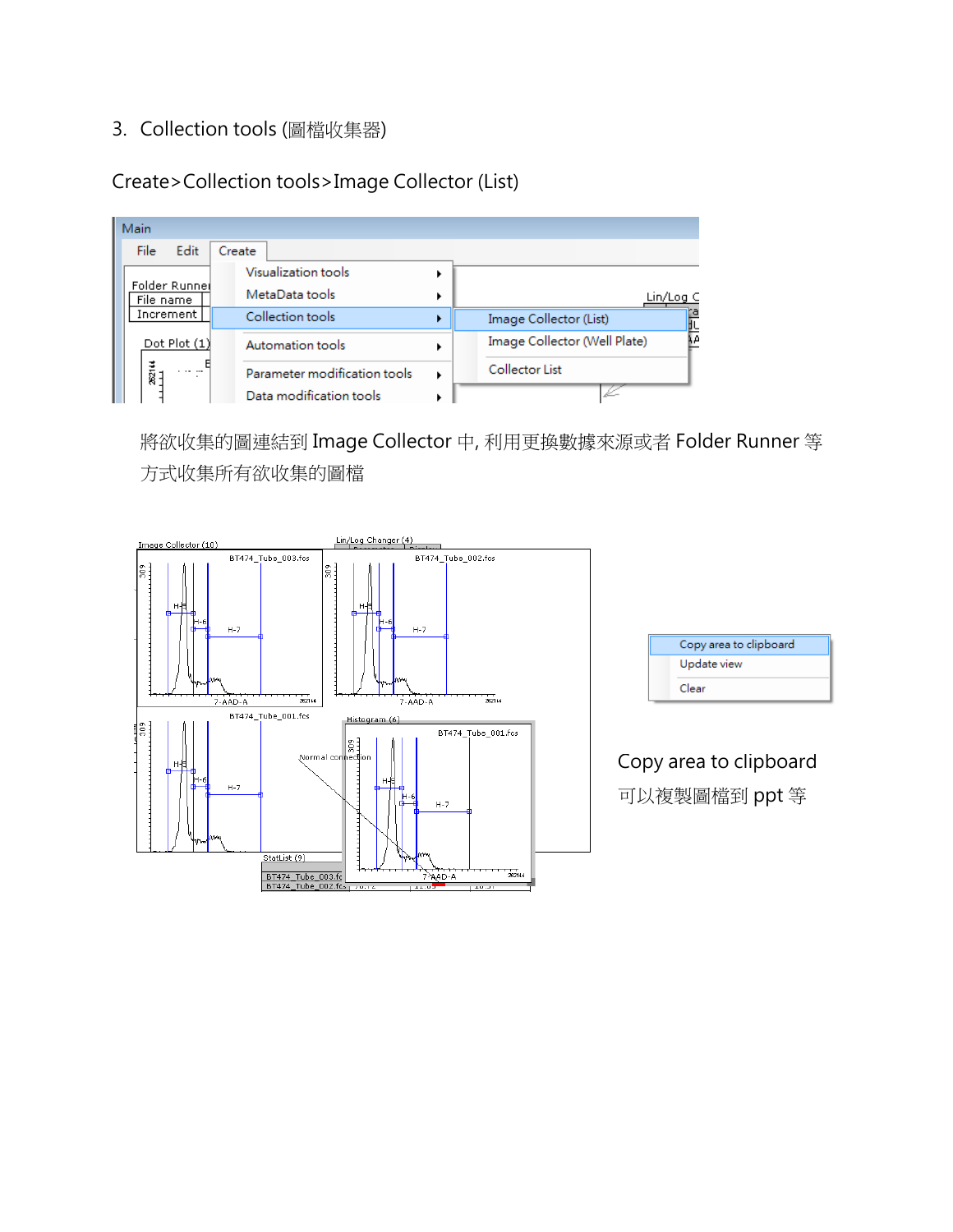# 3. Collection tools (圖檔收集器)

Create>Collection tools>Image Collector (List)

| Main                       |                              |  |                                   |
|----------------------------|------------------------------|--|-----------------------------------|
| Edit<br>File               | Create                       |  |                                   |
|                            | Visualization tools          |  |                                   |
| Folder Runnel<br>File name | MetaData tools               |  | Lin/Log C                         |
| Increment                  | Collection tools             |  | Image Collector (List)            |
| Dot Plot $(1)$             | Automation tools             |  | 븮<br>Image Collector (Well Plate) |
| ट<br>छ21<br>$\cdots$       | Parameter modification tools |  | Collector List                    |
|                            | Data modification tools      |  |                                   |

將欲收集的圖連結到 Image Collector 中, 利用更換數據來源或者 Folder Runner 等 方式收集所有欲收集的圖檔